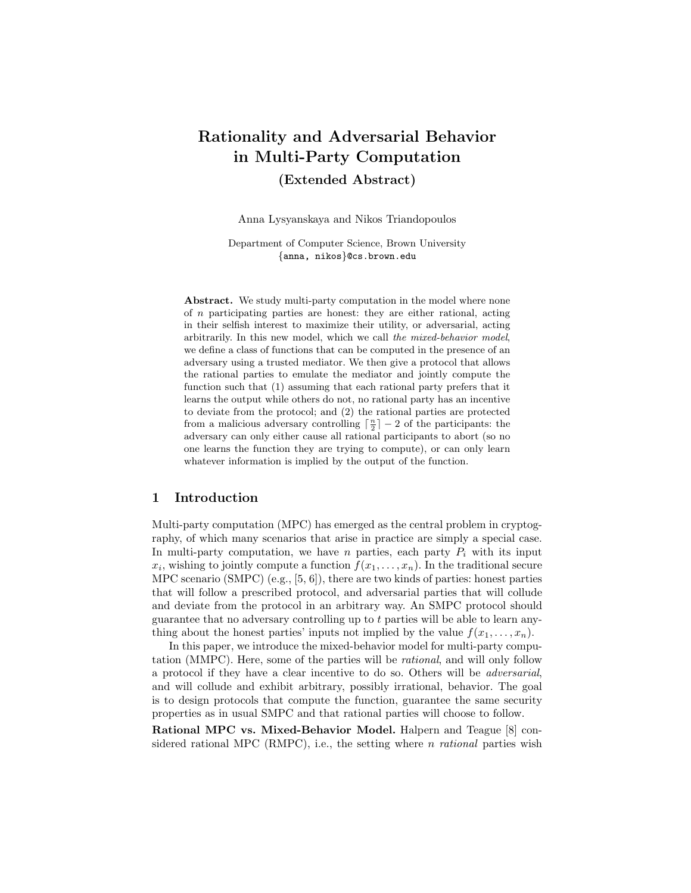# Rationality and Adversarial Behavior in Multi-Party Computation (Extended Abstract)

Anna Lysyanskaya and Nikos Triandopoulos

Department of Computer Science, Brown University {anna, nikos}@cs.brown.edu

Abstract. We study multi-party computation in the model where none of  $n$  participating parties are honest: they are either rational, acting in their selfish interest to maximize their utility, or adversarial, acting arbitrarily. In this new model, which we call the mixed-behavior model, we define a class of functions that can be computed in the presence of an adversary using a trusted mediator. We then give a protocol that allows the rational parties to emulate the mediator and jointly compute the function such that (1) assuming that each rational party prefers that it learns the output while others do not, no rational party has an incentive to deviate from the protocol; and (2) the rational parties are protected from a malicious adversary controlling  $\lceil \frac{n}{2} \rceil - 2$  of the participants: the adversary can only either cause all rational participants to abort (so no one learns the function they are trying to compute), or can only learn whatever information is implied by the output of the function.

### 1 Introduction

Multi-party computation (MPC) has emerged as the central problem in cryptography, of which many scenarios that arise in practice are simply a special case. In multi-party computation, we have n parties, each party  $P_i$  with its input  $x_i$ , wishing to jointly compute a function  $f(x_1, \ldots, x_n)$ . In the traditional secure MPC scenario  $(SMPC)$  (e.g., [5, 6]), there are two kinds of parties: honest parties that will follow a prescribed protocol, and adversarial parties that will collude and deviate from the protocol in an arbitrary way. An SMPC protocol should guarantee that no adversary controlling up to t parties will be able to learn anything about the honest parties' inputs not implied by the value  $f(x_1, \ldots, x_n)$ .

In this paper, we introduce the mixed-behavior model for multi-party computation (MMPC). Here, some of the parties will be rational, and will only follow a protocol if they have a clear incentive to do so. Others will be adversarial, and will collude and exhibit arbitrary, possibly irrational, behavior. The goal is to design protocols that compute the function, guarantee the same security properties as in usual SMPC and that rational parties will choose to follow.

Rational MPC vs. Mixed-Behavior Model. Halpern and Teague [8] considered rational MPC (RMPC), i.e., the setting where  $n$  rational parties wish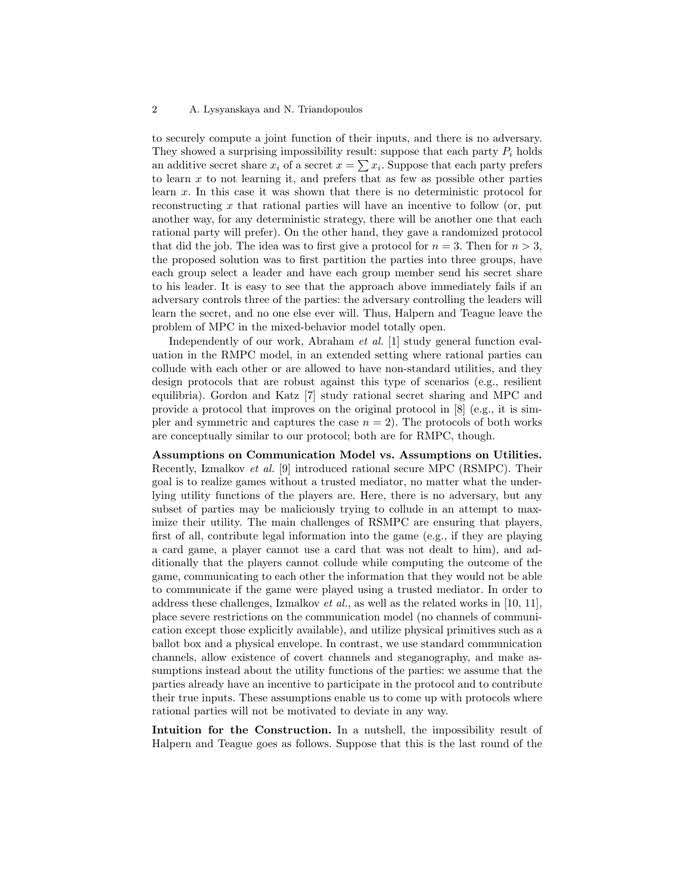to securely compute a joint function of their inputs, and there is no adversary. They showed a surprising impossibility result: suppose that each party  $P_i$  holds an additive secret share  $x_i$  of a secret  $x = \sum x_i$ . Suppose that each party prefers to learn  $x$  to not learning it, and prefers that as few as possible other parties learn x. In this case it was shown that there is no deterministic protocol for reconstructing  $x$  that rational parties will have an incentive to follow (or, put another way, for any deterministic strategy, there will be another one that each rational party will prefer). On the other hand, they gave a randomized protocol that did the job. The idea was to first give a protocol for  $n = 3$ . Then for  $n > 3$ , the proposed solution was to first partition the parties into three groups, have each group select a leader and have each group member send his secret share to his leader. It is easy to see that the approach above immediately fails if an adversary controls three of the parties: the adversary controlling the leaders will learn the secret, and no one else ever will. Thus, Halpern and Teague leave the problem of MPC in the mixed-behavior model totally open.

Independently of our work, Abraham et al. [1] study general function evaluation in the RMPC model, in an extended setting where rational parties can collude with each other or are allowed to have non-standard utilities, and they design protocols that are robust against this type of scenarios (e.g., resilient equilibria). Gordon and Katz [7] study rational secret sharing and MPC and provide a protocol that improves on the original protocol in [8] (e.g., it is simpler and symmetric and captures the case  $n = 2$ ). The protocols of both works are conceptually similar to our protocol; both are for RMPC, though.

Assumptions on Communication Model vs. Assumptions on Utilities. Recently, Izmalkov et al. [9] introduced rational secure MPC (RSMPC). Their goal is to realize games without a trusted mediator, no matter what the underlying utility functions of the players are. Here, there is no adversary, but any subset of parties may be maliciously trying to collude in an attempt to maximize their utility. The main challenges of RSMPC are ensuring that players, first of all, contribute legal information into the game (e.g., if they are playing a card game, a player cannot use a card that was not dealt to him), and additionally that the players cannot collude while computing the outcome of the game, communicating to each other the information that they would not be able to communicate if the game were played using a trusted mediator. In order to address these challenges, Izmalkov et al., as well as the related works in [10, 11], place severe restrictions on the communication model (no channels of communication except those explicitly available), and utilize physical primitives such as a ballot box and a physical envelope. In contrast, we use standard communication channels, allow existence of covert channels and steganography, and make assumptions instead about the utility functions of the parties: we assume that the parties already have an incentive to participate in the protocol and to contribute their true inputs. These assumptions enable us to come up with protocols where rational parties will not be motivated to deviate in any way.

Intuition for the Construction. In a nutshell, the impossibility result of Halpern and Teague goes as follows. Suppose that this is the last round of the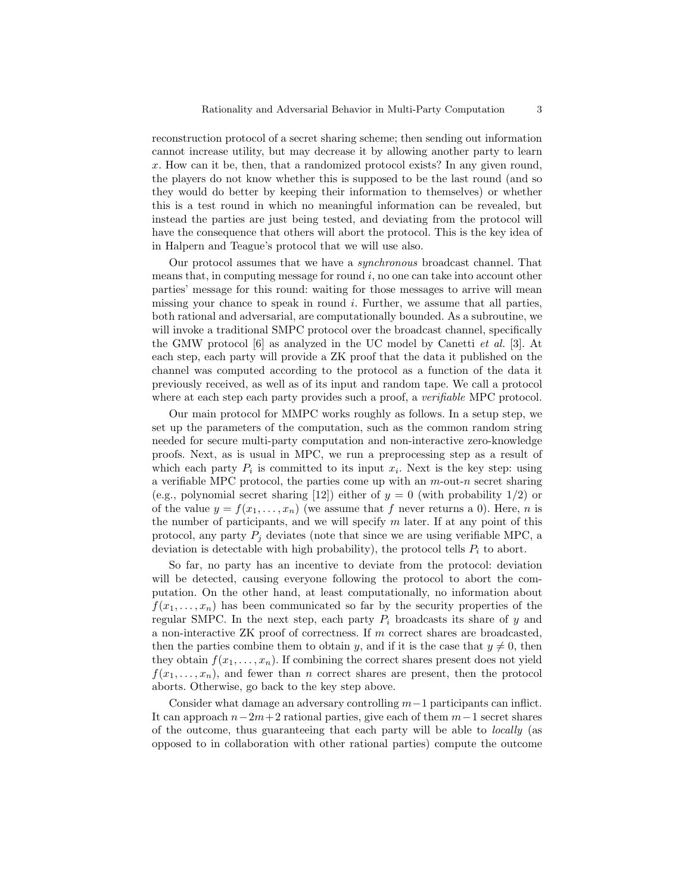reconstruction protocol of a secret sharing scheme; then sending out information cannot increase utility, but may decrease it by allowing another party to learn x. How can it be, then, that a randomized protocol exists? In any given round, the players do not know whether this is supposed to be the last round (and so they would do better by keeping their information to themselves) or whether this is a test round in which no meaningful information can be revealed, but instead the parties are just being tested, and deviating from the protocol will have the consequence that others will abort the protocol. This is the key idea of in Halpern and Teague's protocol that we will use also.

Our protocol assumes that we have a synchronous broadcast channel. That means that, in computing message for round  $i$ , no one can take into account other parties' message for this round: waiting for those messages to arrive will mean missing your chance to speak in round  $i$ . Further, we assume that all parties, both rational and adversarial, are computationally bounded. As a subroutine, we will invoke a traditional SMPC protocol over the broadcast channel, specifically the GMW protocol [6] as analyzed in the UC model by Canetti et al. [3]. At each step, each party will provide a ZK proof that the data it published on the channel was computed according to the protocol as a function of the data it previously received, as well as of its input and random tape. We call a protocol where at each step each party provides such a proof, a *verifiable* MPC protocol.

Our main protocol for MMPC works roughly as follows. In a setup step, we set up the parameters of the computation, such as the common random string needed for secure multi-party computation and non-interactive zero-knowledge proofs. Next, as is usual in MPC, we run a preprocessing step as a result of which each party  $P_i$  is committed to its input  $x_i$ . Next is the key step: using a verifiable MPC protocol, the parties come up with an  $m$ -out-n secret sharing (e.g., polynomial secret sharing [12]) either of  $y = 0$  (with probability 1/2) or of the value  $y = f(x_1, \ldots, x_n)$  (we assume that f never returns a 0). Here, n is the number of participants, and we will specify  $m$  later. If at any point of this protocol, any party  $P_i$  deviates (note that since we are using verifiable MPC, a deviation is detectable with high probability), the protocol tells  $P_i$  to abort.

So far, no party has an incentive to deviate from the protocol: deviation will be detected, causing everyone following the protocol to abort the computation. On the other hand, at least computationally, no information about  $f(x_1, \ldots, x_n)$  has been communicated so far by the security properties of the regular SMPC. In the next step, each party  $P_i$  broadcasts its share of y and a non-interactive ZK proof of correctness. If m correct shares are broadcasted, then the parties combine them to obtain y, and if it is the case that  $y \neq 0$ , then they obtain  $f(x_1, \ldots, x_n)$ . If combining the correct shares present does not yield  $f(x_1, \ldots, x_n)$ , and fewer than n correct shares are present, then the protocol aborts. Otherwise, go back to the key step above.

Consider what damage an adversary controlling m−1 participants can inflict. It can approach  $n-2m+2$  rational parties, give each of them  $m-1$  secret shares of the outcome, thus guaranteeing that each party will be able to locally (as opposed to in collaboration with other rational parties) compute the outcome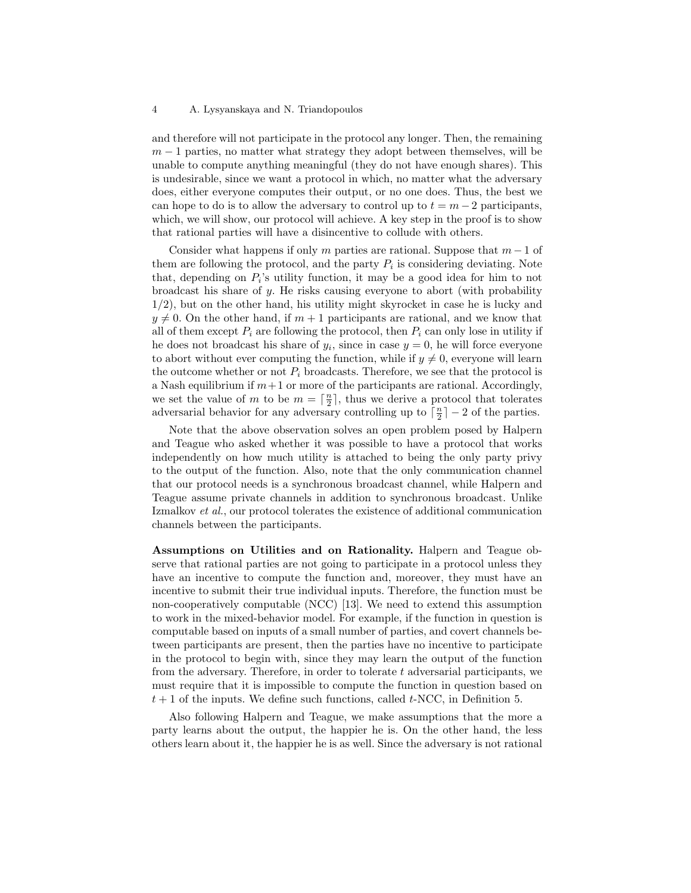and therefore will not participate in the protocol any longer. Then, the remaining  $m-1$  parties, no matter what strategy they adopt between themselves, will be unable to compute anything meaningful (they do not have enough shares). This is undesirable, since we want a protocol in which, no matter what the adversary does, either everyone computes their output, or no one does. Thus, the best we can hope to do is to allow the adversary to control up to  $t = m - 2$  participants, which, we will show, our protocol will achieve. A key step in the proof is to show that rational parties will have a disincentive to collude with others.

Consider what happens if only m parties are rational. Suppose that  $m-1$  of them are following the protocol, and the party  $P_i$  is considering deviating. Note that, depending on  $P_i$ 's utility function, it may be a good idea for him to not broadcast his share of  $y$ . He risks causing everyone to abort (with probability 1/2), but on the other hand, his utility might skyrocket in case he is lucky and  $y \neq 0$ . On the other hand, if  $m + 1$  participants are rational, and we know that all of them except  $P_i$  are following the protocol, then  $P_i$  can only lose in utility if he does not broadcast his share of  $y_i$ , since in case  $y = 0$ , he will force everyone to abort without ever computing the function, while if  $y \neq 0$ , everyone will learn the outcome whether or not  $P_i$  broadcasts. Therefore, we see that the protocol is a Nash equilibrium if  $m+1$  or more of the participants are rational. Accordingly, we set the value of m to be  $m = \lceil \frac{n}{2} \rceil$ , thus we derive a protocol that tolerates adversarial behavior for any adversary controlling up to  $\lceil \frac{n}{2} \rceil - 2$  of the parties.

Note that the above observation solves an open problem posed by Halpern and Teague who asked whether it was possible to have a protocol that works independently on how much utility is attached to being the only party privy to the output of the function. Also, note that the only communication channel that our protocol needs is a synchronous broadcast channel, while Halpern and Teague assume private channels in addition to synchronous broadcast. Unlike Izmalkov et al., our protocol tolerates the existence of additional communication channels between the participants.

Assumptions on Utilities and on Rationality. Halpern and Teague observe that rational parties are not going to participate in a protocol unless they have an incentive to compute the function and, moreover, they must have an incentive to submit their true individual inputs. Therefore, the function must be non-cooperatively computable (NCC) [13]. We need to extend this assumption to work in the mixed-behavior model. For example, if the function in question is computable based on inputs of a small number of parties, and covert channels between participants are present, then the parties have no incentive to participate in the protocol to begin with, since they may learn the output of the function from the adversary. Therefore, in order to tolerate  $t$  adversarial participants, we must require that it is impossible to compute the function in question based on  $t+1$  of the inputs. We define such functions, called  $t$ -NCC, in Definition 5.

Also following Halpern and Teague, we make assumptions that the more a party learns about the output, the happier he is. On the other hand, the less others learn about it, the happier he is as well. Since the adversary is not rational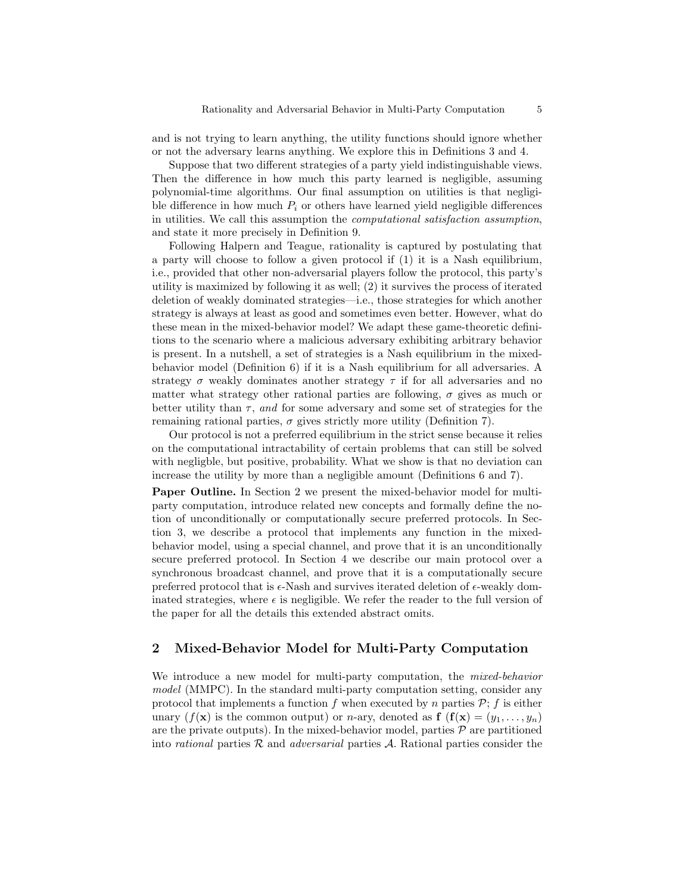and is not trying to learn anything, the utility functions should ignore whether or not the adversary learns anything. We explore this in Definitions 3 and 4.

Suppose that two different strategies of a party yield indistinguishable views. Then the difference in how much this party learned is negligible, assuming polynomial-time algorithms. Our final assumption on utilities is that negligible difference in how much  $P_i$  or others have learned yield negligible differences in utilities. We call this assumption the computational satisfaction assumption, and state it more precisely in Definition 9.

Following Halpern and Teague, rationality is captured by postulating that a party will choose to follow a given protocol if (1) it is a Nash equilibrium, i.e., provided that other non-adversarial players follow the protocol, this party's utility is maximized by following it as well; (2) it survives the process of iterated deletion of weakly dominated strategies—i.e., those strategies for which another strategy is always at least as good and sometimes even better. However, what do these mean in the mixed-behavior model? We adapt these game-theoretic definitions to the scenario where a malicious adversary exhibiting arbitrary behavior is present. In a nutshell, a set of strategies is a Nash equilibrium in the mixedbehavior model (Definition 6) if it is a Nash equilibrium for all adversaries. A strategy  $\sigma$  weakly dominates another strategy  $\tau$  if for all adversaries and no matter what strategy other rational parties are following,  $\sigma$  gives as much or better utility than  $\tau$ , and for some adversary and some set of strategies for the remaining rational parties,  $\sigma$  gives strictly more utility (Definition 7).

Our protocol is not a preferred equilibrium in the strict sense because it relies on the computational intractability of certain problems that can still be solved with negligble, but positive, probability. What we show is that no deviation can increase the utility by more than a negligible amount (Definitions 6 and 7).

Paper Outline. In Section 2 we present the mixed-behavior model for multiparty computation, introduce related new concepts and formally define the notion of unconditionally or computationally secure preferred protocols. In Section 3, we describe a protocol that implements any function in the mixedbehavior model, using a special channel, and prove that it is an unconditionally secure preferred protocol. In Section 4 we describe our main protocol over a synchronous broadcast channel, and prove that it is a computationally secure preferred protocol that is  $\epsilon$ -Nash and survives iterated deletion of  $\epsilon$ -weakly dominated strategies, where  $\epsilon$  is negligible. We refer the reader to the full version of the paper for all the details this extended abstract omits.

### 2 Mixed-Behavior Model for Multi-Party Computation

We introduce a new model for multi-party computation, the mixed-behavior model (MMPC). In the standard multi-party computation setting, consider any protocol that implements a function f when executed by n parties  $P$ ; f is either unary  $(f(\mathbf{x}))$  is the common output) or *n*-ary, denoted as  $f(f(\mathbf{x})) = (y_1, \ldots, y_n)$ are the private outputs). In the mixed-behavior model, parties  $P$  are partitioned into rational parties  $\mathcal R$  and adversarial parties  $\mathcal A$ . Rational parties consider the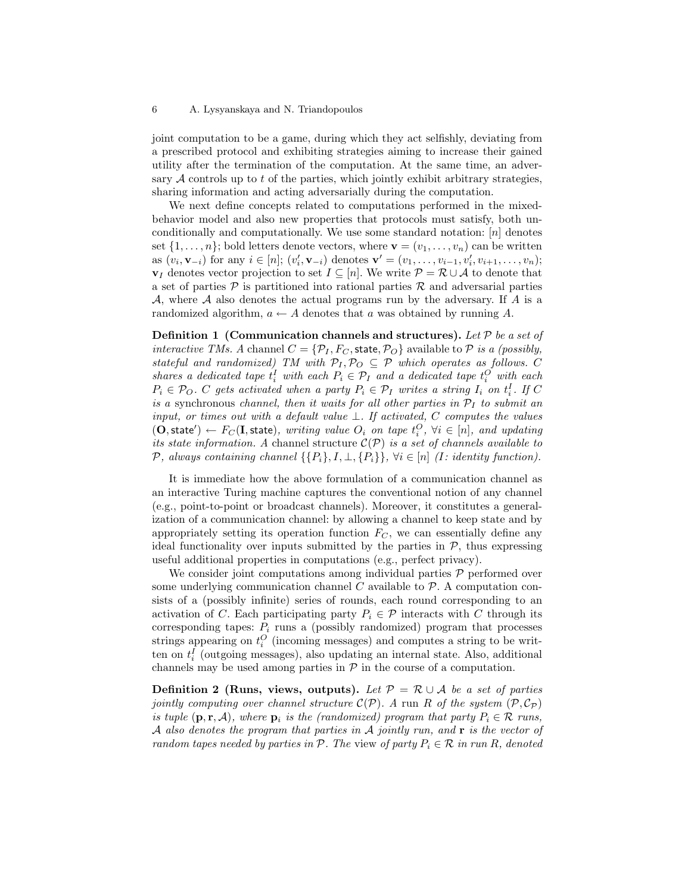joint computation to be a game, during which they act selfishly, deviating from a prescribed protocol and exhibiting strategies aiming to increase their gained utility after the termination of the computation. At the same time, an adversary  $A$  controls up to  $t$  of the parties, which jointly exhibit arbitrary strategies, sharing information and acting adversarially during the computation.

We next define concepts related to computations performed in the mixedbehavior model and also new properties that protocols must satisfy, both unconditionally and computationally. We use some standard notation:  $[n]$  denotes set  $\{1, \ldots, n\}$ ; bold letters denote vectors, where  $\mathbf{v} = (v_1, \ldots, v_n)$  can be written as  $(v_i, \mathbf{v}_{-i})$  for any  $i \in [n]$ ;  $(v'_i, \mathbf{v}_{-i})$  denotes  $\mathbf{v}' = (v_1, \ldots, v_{i-1}, v'_i, v_{i+1}, \ldots, v_n)$ ;  $\mathbf{v}_I$  denotes vector projection to set  $I \subseteq [n]$ . We write  $\mathcal{P} = \mathcal{R} \cup \mathcal{A}$  to denote that a set of parties  $\mathcal P$  is partitioned into rational parties  $\mathcal R$  and adversarial parties A, where A also denotes the actual programs run by the adversary. If A is a randomized algorithm,  $a \leftarrow A$  denotes that a was obtained by running A.

**Definition 1** (Communication channels and structures). Let  $P$  be a set of interactive TMs. A channel  $C = \{P_I, F_C, \text{state}, P_O\}$  available to P is a (possibly, stateful and randomized) TM with  $P_I, P_O \subseteq P$  which operates as follows. C shares a dedicated tape  $t_i^I$  with each  $P_i \in \mathcal{P}_I$  and a dedicated tape  $t_i^O$  with each  $P_i \in \mathcal{P}_O$ . C gets activated when a party  $P_i \in \mathcal{P}_I$  writes a string  $I_i$  on  $t_i^I$ . If C is a synchronous channel, then it waits for all other parties in  $\mathcal{P}_I$  to submit an input, or times out with a default value  $\bot$ . If activated, C computes the values  $(O, state') \leftarrow F_C(\mathbf{I}, state),$  writing value  $O_i$  on tape  $t_i^O$ ,  $\forall i \in [n]$ , and updating its state information. A channel structure  $\mathcal{C}(\mathcal{P})$  is a set of channels available to P, always containing channel  $\{\{P_i\}, I, \bot, \{P_i\}\}\$ ,  $\forall i \in [n]$  (*I: identity function*).

It is immediate how the above formulation of a communication channel as an interactive Turing machine captures the conventional notion of any channel (e.g., point-to-point or broadcast channels). Moreover, it constitutes a generalization of a communication channel: by allowing a channel to keep state and by appropriately setting its operation function  $F_C$ , we can essentially define any ideal functionality over inputs submitted by the parties in  $P$ , thus expressing useful additional properties in computations (e.g., perfect privacy).

We consider joint computations among individual parties  $P$  performed over some underlying communication channel C available to  $P$ . A computation consists of a (possibly infinite) series of rounds, each round corresponding to an activation of C. Each participating party  $P_i \in \mathcal{P}$  interacts with C through its corresponding tapes:  $P_i$  runs a (possibly randomized) program that processes strings appearing on  $t_i^O$  (incoming messages) and computes a string to be written on  $t_i^I$  (outgoing messages), also updating an internal state. Also, additional channels may be used among parties in  $P$  in the course of a computation.

Definition 2 (Runs, views, outputs). Let  $\mathcal{P} = \mathcal{R} \cup \mathcal{A}$  be a set of parties jointly computing over channel structure  $\mathcal{C}(\mathcal{P})$ . A run R of the system  $(\mathcal{P}, \mathcal{C}_{\mathcal{P}})$ is tuple  $(p, r, A)$ , where  $p_i$  is the (randomized) program that party  $P_i \in \mathcal{R}$  runs, A also denotes the program that parties in A jointly run, and  $\bf{r}$  is the vector of random tapes needed by parties in P. The view of party  $P_i \in \mathcal{R}$  in run R, denoted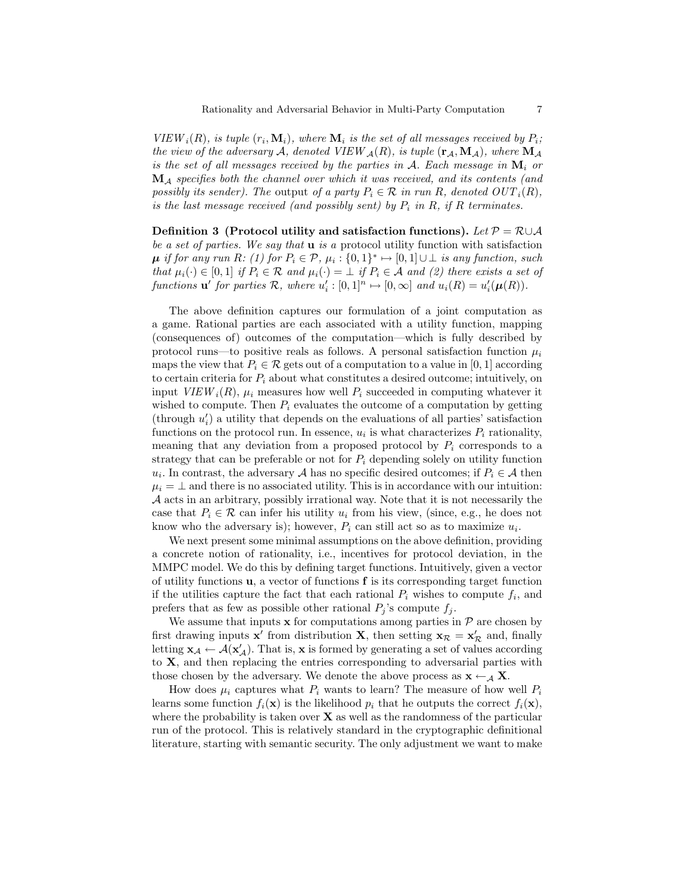$VIEW<sub>i</sub>(R)$ , is tuple  $(r_i, M_i)$ , where  $M_i$  is the set of all messages received by  $P_i$ ; the view of the adversary A, denoted VIEW  $_A(R)$ , is tuple  $(\mathbf{r}_A, \mathbf{M}_A)$ , where  $\mathbf{M}_A$ is the set of all messages received by the parties in  $A$ . Each message in  $M_i$  or  $M_A$  specifies both the channel over which it was received, and its contents (and possibly its sender). The output of a party  $P_i \in \mathcal{R}$  in run R, denoted  $OUT_i(R)$ , is the last message received (and possibly sent) by  $P_i$  in R, if R terminates.

Definition 3 (Protocol utility and satisfaction functions). Let  $\mathcal{P} = \mathcal{R} \cup \mathcal{A}$ be a set of parties. We say that **u** is a protocol utility function with satisfaction  $\mu$  if for any run R: (1) for  $P_i \in \mathcal{P}$ ,  $\mu_i : \{0,1\}^* \mapsto [0,1] \cup \bot$  is any function, such that  $\mu_i(\cdot) \in [0,1]$  if  $P_i \in \mathcal{R}$  and  $\mu_i(\cdot) = \perp$  if  $P_i \in \mathcal{A}$  and (2) there exists a set of functions  $\mathbf{u}'$  for parties  $\mathcal{R}$ , where  $u'_i : [0,1]^n \mapsto [0,\infty]$  and  $u_i(R) = u'_i(\boldsymbol{\mu}(R))$ .

The above definition captures our formulation of a joint computation as a game. Rational parties are each associated with a utility function, mapping (consequences of) outcomes of the computation—which is fully described by protocol runs—to positive reals as follows. A personal satisfaction function  $\mu_i$ maps the view that  $P_i \in \mathcal{R}$  gets out of a computation to a value in [0, 1] according to certain criteria for  $P_i$  about what constitutes a desired outcome; intuitively, on input  $VIEW_i(R)$ ,  $\mu_i$  measures how well  $P_i$  succeeded in computing whatever it wished to compute. Then  $P_i$  evaluates the outcome of a computation by getting (through  $u'_i$ ) a utility that depends on the evaluations of all parties' satisfaction functions on the protocol run. In essence,  $u_i$  is what characterizes  $P_i$  rationality, meaning that any deviation from a proposed protocol by  $P_i$  corresponds to a strategy that can be preferable or not for  $P_i$  depending solely on utility function  $u_i$ . In contrast, the adversary A has no specific desired outcomes; if  $P_i \in \mathcal{A}$  then  $\mu_i = \perp$  and there is no associated utility. This is in accordance with our intuition: A acts in an arbitrary, possibly irrational way. Note that it is not necessarily the case that  $P_i \in \mathcal{R}$  can infer his utility  $u_i$  from his view, (since, e.g., he does not know who the adversary is); however,  $P_i$  can still act so as to maximize  $u_i$ .

We next present some minimal assumptions on the above definition, providing a concrete notion of rationality, i.e., incentives for protocol deviation, in the MMPC model. We do this by defining target functions. Intuitively, given a vector of utility functions  $\mathbf{u}$ , a vector of functions  $\mathbf{f}$  is its corresponding target function if the utilities capture the fact that each rational  $P_i$  wishes to compute  $f_i$ , and prefers that as few as possible other rational  $P_j$ 's compute  $f_j$ .

We assume that inputs  $x$  for computations among parties in  $P$  are chosen by first drawing inputs  $\mathbf{x}'$  from distribution **X**, then setting  $\mathbf{x}_{\mathcal{R}} = \mathbf{x}'_{\mathcal{R}}$  and, finally letting  $x_A \leftarrow \mathcal{A}(x'_A)$ . That is, x is formed by generating a set of values according to X, and then replacing the entries corresponding to adversarial parties with those chosen by the adversary. We denote the above process as  $\mathbf{x} \leftarrow_A \mathbf{X}$ .

How does  $\mu_i$  captures what  $P_i$  wants to learn? The measure of how well  $P_i$ learns some function  $f_i(\mathbf{x})$  is the likelihood  $p_i$  that he outputs the correct  $f_i(\mathbf{x})$ , where the probability is taken over  $X$  as well as the randomness of the particular run of the protocol. This is relatively standard in the cryptographic definitional literature, starting with semantic security. The only adjustment we want to make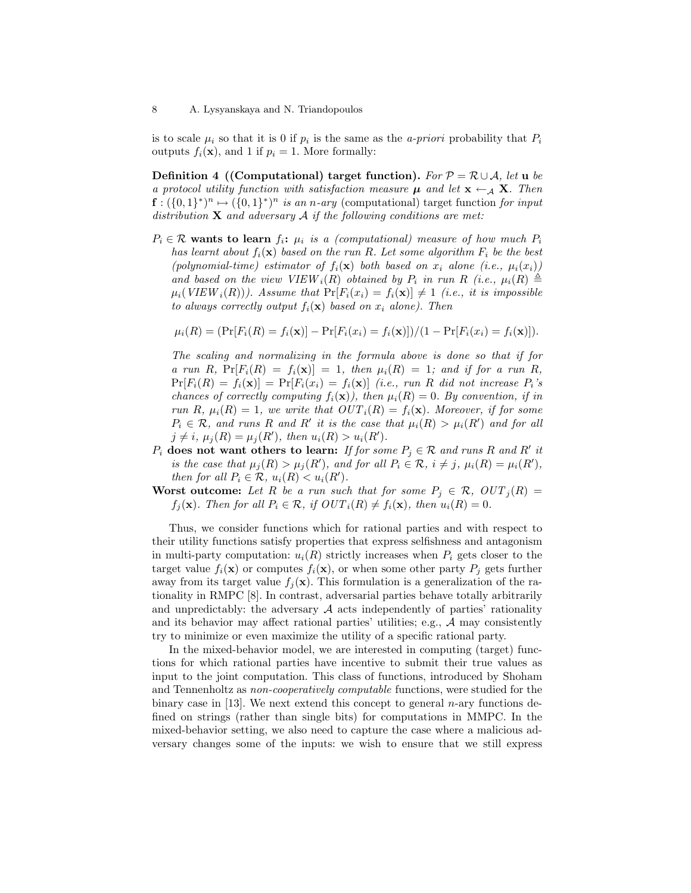is to scale  $\mu_i$  so that it is 0 if  $p_i$  is the same as the *a-priori* probability that  $P_i$ outputs  $f_i(\mathbf{x})$ , and 1 if  $p_i = 1$ . More formally:

Definition 4 ((Computational) target function). For  $\mathcal{P} = \mathcal{R} \cup \mathcal{A}$ , let u be a protocol utility function with satisfaction measure  $\mu$  and let  $\mathbf{x} \leftarrow_A \mathbf{X}$ . Then  $\mathbf{f}: (\{0,1\}^*)^n \mapsto (\{0,1\}^*)^n$  is an n-ary (computational) target function for input distribution  $X$  and adversary  $A$  if the following conditions are met:

 $P_i \in \mathcal{R}$  wants to learn  $f_i: \mu_i$  is a (computational) measure of how much  $P_i$ has learnt about  $f_i(\mathbf{x})$  based on the run R. Let some algorithm  $F_i$  be the best (polynomial-time) estimator of  $f_i(\mathbf{x})$  both based on  $x_i$  alone (i.e.,  $\mu_i(x_i)$ ) and based on the view VIEW<sub>i</sub>(R) obtained by  $P_i$  in run R (i.e.,  $\mu_i(R) \triangleq$  $\mu_i(VIEW_i(R))$ ). Assume that  $\Pr[F_i(x_i) = f_i(\mathbf{x})] \neq 1$  (i.e., it is impossible to always correctly output  $f_i(\mathbf{x})$  based on  $x_i$  alone). Then

$$
\mu_i(R) = (\Pr[F_i(R) = f_i(\mathbf{x})] - \Pr[F_i(x_i) = f_i(\mathbf{x})])/(1 - \Pr[F_i(x_i) = f_i(\mathbf{x})]).
$$

The scaling and normalizing in the formula above is done so that if for a run R,  $Pr[F_i(R) = f_i(\mathbf{x})] = 1$ , then  $\mu_i(R) = 1$ ; and if for a run R,  $\Pr[F_i(R) = f_i(\mathbf{x})] = \Pr[F_i(x_i) = f_i(\mathbf{x})]$  (i.e., run R did not increase  $P_i$ 's chances of correctly computing  $f_i(\mathbf{x})$ , then  $\mu_i(R) = 0$ . By convention, if in run R,  $\mu_i(R) = 1$ , we write that  $OUT_i(R) = f_i(\mathbf{x})$ . Moreover, if for some  $P_i \in \mathcal{R}$ , and runs R and R' it is the case that  $\mu_i(R) > \mu_i(R')$  and for all  $j \neq i, \mu_j(R) = \mu_j(R'), \text{ then } u_i(R) > u_i(R').$ 

- $P_i$  does not want others to learn: If for some  $P_j \in \mathcal{R}$  and runs R and R' it is the case that  $\mu_j(R) > \mu_j(R')$ , and for all  $P_i \in \mathcal{R}$ ,  $i \neq j$ ,  $\mu_i(R) = \mu_i(R')$ , then for all  $P_i \in \mathcal{R}$ ,  $u_i(R) < u_i(R')$ .
- **Worst outcome:** Let R be a run such that for some  $P_j \in \mathcal{R}$ ,  $OUT_j(R)$  $f_i(\mathbf{x})$ . Then for all  $P_i \in \mathcal{R}$ , if  $OUT_i(R) \neq f_i(\mathbf{x})$ , then  $u_i(R) = 0$ .

Thus, we consider functions which for rational parties and with respect to their utility functions satisfy properties that express selfishness and antagonism in multi-party computation:  $u_i(R)$  strictly increases when  $P_i$  gets closer to the target value  $f_i(\mathbf{x})$  or computes  $f_i(\mathbf{x})$ , or when some other party  $P_j$  gets further away from its target value  $f_i(\mathbf{x})$ . This formulation is a generalization of the rationality in RMPC [8]. In contrast, adversarial parties behave totally arbitrarily and unpredictably: the adversary  $A$  acts independently of parties' rationality and its behavior may affect rational parties' utilities; e.g., A may consistently try to minimize or even maximize the utility of a specific rational party.

In the mixed-behavior model, we are interested in computing (target) functions for which rational parties have incentive to submit their true values as input to the joint computation. This class of functions, introduced by Shoham and Tennenholtz as non-cooperatively computable functions, were studied for the binary case in  $[13]$ . We next extend this concept to general *n*-ary functions defined on strings (rather than single bits) for computations in MMPC. In the mixed-behavior setting, we also need to capture the case where a malicious adversary changes some of the inputs: we wish to ensure that we still express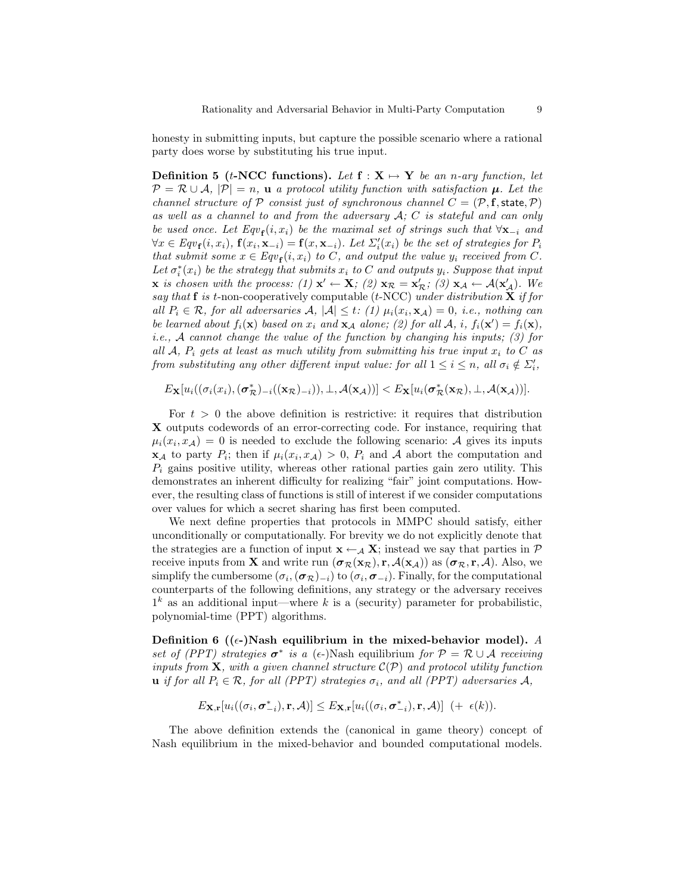honesty in submitting inputs, but capture the possible scenario where a rational party does worse by substituting his true input.

**Definition 5** (t-NCC functions). Let  $f : X \rightarrow Y$  be an n-ary function, let  $\mathcal{P} = \mathcal{R} \cup \mathcal{A}, |\mathcal{P}| = n$ , **u** a protocol utility function with satisfaction  $\mu$ . Let the channel structure of P consist just of synchronous channel  $C = (\mathcal{P}, \mathbf{f}, \mathbf{state}, \mathcal{P})$ as well as a channel to and from the adversary  $A; C$  is stateful and can only be used once. Let  $Eqv_{\bf f}(i, x_i)$  be the maximal set of strings such that  $\forall {\bf x}_{-i}$  and  $\forall x \in \mathbb{E}qv_{\mathbf{f}}(i,x_i), \mathbf{f}(x_i,\mathbf{x}_{-i}) = \mathbf{f}(x,\mathbf{x}_{-i}).$  Let  $\Sigma'_i(x_i)$  be the set of strategies for  $P_i$ that submit some  $x \in Eqv_{\mathbf{f}}(i,x_i)$  to C, and output the value  $y_i$  received from C. Let  $\sigma_i^*(x_i)$  be the strategy that submits  $x_i$  to C and outputs  $y_i$ . Suppose that input x is chosen with the process: (1)  $\mathbf{x}' \leftarrow \mathbf{X}$ ; (2)  $\mathbf{x}_{\mathcal{R}} = \mathbf{x}'_{\mathcal{R}}$ ; (3)  $\mathbf{x}_{\mathcal{A}} \leftarrow \mathcal{A}(\mathbf{x}'_{\mathcal{A}})$ . We say that  $f$  is t-non-cooperatively computable (t-NCC) under distribution  $\tilde{X}$  if for all  $P_i \in \mathcal{R}$ , for all adversaries  $\mathcal{A}, |\mathcal{A}| \leq t$ : (1)  $\mu_i(x_i, \mathbf{x}_{\mathcal{A}}) = 0$ , i.e., nothing can be learned about  $f_i(\mathbf{x})$  based on  $x_i$  and  $\mathbf{x}_\mathcal{A}$  alone; (2) for all  $\mathcal{A}, i, f_i(\mathbf{x}') = f_i(\mathbf{x}),$ i.e., A cannot change the value of the function by changing his inputs; (3) for all A,  $P_i$  gets at least as much utility from submitting his true input  $x_i$  to C as from substituting any other different input value: for all  $1 \leq i \leq n$ , all  $\sigma_i \notin \Sigma'_i$ ,

 $E_{\mathbf{X}}[u_i((\sigma_i(x_i),(\boldsymbol{\sigma}_{\mathcal{R}}^*)_{-i}((\mathbf{x}_{\mathcal{R}})_{-i})),\bot,\mathcal{A}(\mathbf{x}_{\mathcal{A}}))] < E_{\mathbf{X}}[u_i(\boldsymbol{\sigma}_{\mathcal{R}}^*(\mathbf{x}_{\mathcal{R}}),\bot,\mathcal{A}(\mathbf{x}_{\mathcal{A}}))].$ 

For  $t > 0$  the above definition is restrictive: it requires that distribution X outputs codewords of an error-correcting code. For instance, requiring that  $\mu_i(x_i, x_{\mathcal{A}}) = 0$  is needed to exclude the following scenario: A gives its inputs  $\mathbf{x}_{\mathcal{A}}$  to party  $P_i$ ; then if  $\mu_i(x_i, x_{\mathcal{A}}) > 0$ ,  $P_i$  and  $\mathcal A$  abort the computation and  $P_i$  gains positive utility, whereas other rational parties gain zero utility. This demonstrates an inherent difficulty for realizing "fair" joint computations. However, the resulting class of functions is still of interest if we consider computations over values for which a secret sharing has first been computed.

We next define properties that protocols in MMPC should satisfy, either unconditionally or computationally. For brevity we do not explicitly denote that the strategies are a function of input  $\mathbf{x} \leftarrow_A \mathbf{X}$ ; instead we say that parties in  $\mathcal{P}$ receive inputs from **X** and write run  $(\sigma_R(\mathbf{x}_R), \mathbf{r}, \mathcal{A}(\mathbf{x}_A))$  as  $(\sigma_R, \mathbf{r}, \mathcal{A})$ . Also, we simplify the cumbersome  $(\sigma_i, (\sigma_{\mathcal{R}})_{-i})$  to  $(\sigma_i, \sigma_{-i})$ . Finally, for the computational counterparts of the following definitions, any strategy or the adversary receives  $1<sup>k</sup>$  as an additional input—where k is a (security) parameter for probabilistic, polynomial-time (PPT) algorithms.

Definition 6 ( $(\epsilon)$ Nash equilibrium in the mixed-behavior model). A set of (PPT) strategies  $\sigma^*$  is a ( $\epsilon$ -)Nash equilibrium for  $\mathcal{P} = \mathcal{R} \cup \mathcal{A}$  receiving inputs from **X**, with a given channel structure  $C(\mathcal{P})$  and protocol utility function u if for all  $P_i \in \mathcal{R}$ , for all (PPT) strategies  $\sigma_i$ , and all (PPT) adversaries A,

$$
E_{\mathbf{X},\mathbf{r}}[u_i((\sigma_i,\sigma_{-i}^*),\mathbf{r},\mathcal{A})] \leq E_{\mathbf{X},\mathbf{r}}[u_i((\sigma_i,\sigma_{-i}^*),\mathbf{r},\mathcal{A})] \; (+ \; \epsilon(k)).
$$

The above definition extends the (canonical in game theory) concept of Nash equilibrium in the mixed-behavior and bounded computational models.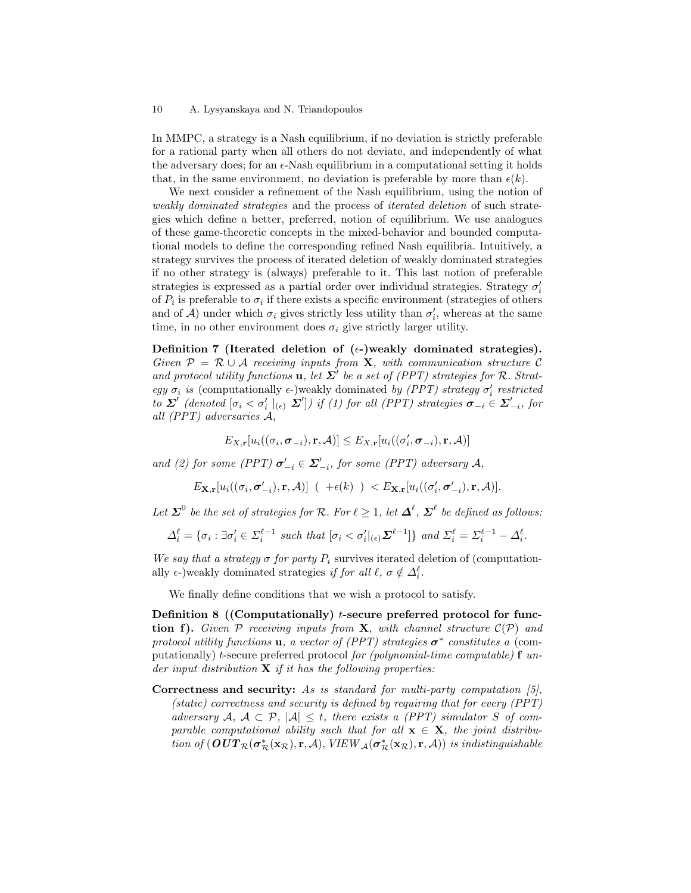In MMPC, a strategy is a Nash equilibrium, if no deviation is strictly preferable for a rational party when all others do not deviate, and independently of what the adversary does; for an  $\epsilon$ -Nash equilibrium in a computational setting it holds that, in the same environment, no deviation is preferable by more than  $\epsilon(k)$ .

We next consider a refinement of the Nash equilibrium, using the notion of weakly dominated strategies and the process of iterated deletion of such strategies which define a better, preferred, notion of equilibrium. We use analogues of these game-theoretic concepts in the mixed-behavior and bounded computational models to define the corresponding refined Nash equilibria. Intuitively, a strategy survives the process of iterated deletion of weakly dominated strategies if no other strategy is (always) preferable to it. This last notion of preferable strategies is expressed as a partial order over individual strategies. Strategy  $\sigma_i'$ of  $P_i$  is preferable to  $\sigma_i$  if there exists a specific environment (strategies of others and of  $A$ ) under which  $\sigma_i$  gives strictly less utility than  $\sigma'_i$ , whereas at the same time, in no other environment does  $\sigma_i$  give strictly larger utility.

Definition 7 (Iterated deletion of  $(\epsilon$ -)weakly dominated strategies). Given  $\mathcal{P} = \mathcal{R} \cup \mathcal{A}$  receiving inputs from **X**, with communication structure C and protocol utility functions  $\bf{u}$ , let  $\bf{\Sigma}'$  be a set of (PPT) strategies for  $\bf{\mathcal{R}}$ . Strategy σ<sub>i</sub> is (computationally ε-)weakly dominated by (PPT) strategy  $σ'_{i}$  restricted to  $\Sigma'$  (denoted  $[\sigma_i < \sigma'_i \mid_{(\epsilon)}' \Sigma']$ ) if (1) for all (PPT) strategies  $\sigma_{-i} \in \Sigma'_{-i}$ , for all (PPT) adversaries A,

$$
E_{X,\mathbf{r}}[u_i((\sigma_i, \boldsymbol{\sigma}_{-i}), \mathbf{r}, \mathcal{A})] \leq E_{X,\mathbf{r}}[u_i((\sigma'_i, \boldsymbol{\sigma}_{-i}), \mathbf{r}, \mathcal{A})]
$$

and (2) for some (PPT)  $\sigma'_{-i} \in \Sigma'_{-i}$ , for some (PPT) adversary A,

$$
E_{\mathbf{X},\mathbf{r}}[u_i((\sigma_i,\pmb{\sigma}_{-i}'),\mathbf{r},\mathcal{A})] \ (\ +\epsilon(k) \ ) < E_{\mathbf{X},\mathbf{r}}[u_i((\sigma_i',\pmb{\sigma}_{-i}'),\mathbf{r},\mathcal{A})].
$$

Let  $\Sigma^0$  be the set of strategies for R. For  $\ell \geq 1$ , let  $\Delta^{\ell}$ ,  $\Sigma^{\ell}$  be defined as follows:

$$
\Delta_i^{\ell} = \{ \sigma_i : \exists \sigma_i' \in \Sigma_i^{\ell-1} \text{ such that } [\sigma_i < \sigma_i' |_{(\epsilon)} \Sigma^{\ell-1}] \} \text{ and } \Sigma_i^{\ell} = \Sigma_i^{\ell-1} - \Delta_i^{\ell}.
$$

We say that a strategy  $\sigma$  for party  $P_i$  survives iterated deletion of (computationally  $\epsilon$ -)weakly dominated strategies if for all  $\ell, \sigma \notin \Delta_i^{\ell}$ .

We finally define conditions that we wish a protocol to satisfy.

Definition 8 ((Computationally) *t*-secure preferred protocol for function f). Given  $P$  receiving inputs from **X**, with channel structure  $C(P)$  and protocol utility functions  $\mathbf{u}, \overline{a}$  vector of (PPT) strategies  $\boldsymbol{\sigma}^*$  constitutes  $\overline{a}$  (computationally) t-secure preferred protocol for (polynomial-time computable) f under input distribution  $X$  if it has the following properties:

Correctness and security: As is standard for multi-party computation [5], (static) correctness and security is defined by requiring that for every (PPT) adversary A,  $A \subset \mathcal{P}$ ,  $|A| \leq t$ , there exists a *(PPT)* simulator S of comparable computational ability such that for all  $\mathbf{x} \in \mathbf{X}$ , the joint distribu- $\tilde{t}$ tion of ( $\tilde{OUT}_{\mathcal{R}}(\sigma_{\mathcal{R}}^{*}(x_{\mathcal{R}}), r, \mathcal{A}),$  VIEW  $_{\mathcal{A}}(\sigma_{\mathcal{R}}^{*}(x_{\mathcal{R}}), r, \mathcal{A}))$  is indistinguishable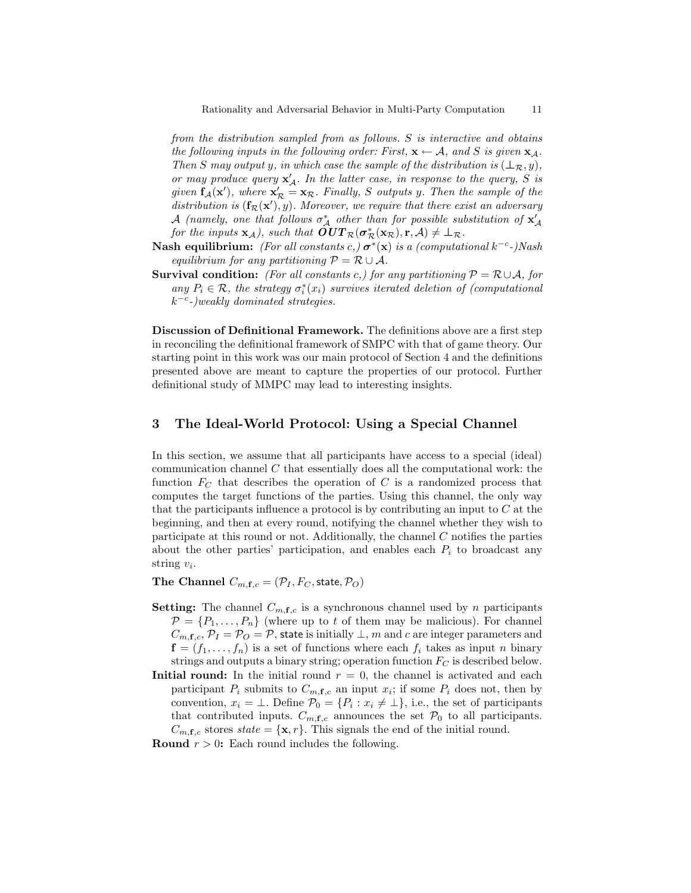from the distribution sampled from as follows. S is interactive and obtains the following inputs in the following order: First,  $\mathbf{x} \leftarrow A$ , and S is given  $\mathbf{x}_A$ . Then S may output y, in which case the sample of the distribution is  $(\perp_R, y)$ , or may produce query  $\mathbf{x}'_{\mathcal{A}}$ . In the latter case, in response to the query, S is given  $f_A(x')$ , where  $x'_R = x_R$ . Finally, S outputs y. Then the sample of the distribution is  $(f_R(x'), y)$ . Moreover, we require that there exist an adversary A (namely, one that follows  $\sigma_A^*$  other than for possible substitution of  $x'_A$ for the inputs  $\mathbf{x}_{\mathcal{A}}$ ), such that  $\overset{\sim}{\mathbf{OUT}}_{\mathcal{R}}(\boldsymbol{\sigma}_{\mathcal{R}}^{*}(\mathbf{x}_{\mathcal{R}}), \mathbf{r}, \mathcal{A}) \neq \bot_{\mathcal{R}}$ .

- Nash equilibrium: (For all constants  $c,$ )  $\sigma^*(x)$  is a (computational  $k^{-c}$ -)Nash equilibrium for any partitioning  $P = \mathcal{R} \cup \mathcal{A}$ .
- **Survival condition:** (For all constants c,) for any partitioning  $P = \mathcal{R} \cup A$ , for any  $P_i \in \mathcal{R}$ , the strategy  $\sigma_i^*(x_i)$  survives iterated deletion of (computational  $k^{-c}$ -)weakly dominated strategies.

Discussion of Definitional Framework. The definitions above are a first step in reconciling the definitional framework of SMPC with that of game theory. Our starting point in this work was our main protocol of Section 4 and the definitions presented above are meant to capture the properties of our protocol. Further definitional study of MMPC may lead to interesting insights.

### 3 The Ideal-World Protocol: Using a Special Channel

In this section, we assume that all participants have access to a special (ideal) communication channel  $C$  that essentially does all the computational work: the function  $F_C$  that describes the operation of C is a randomized process that computes the target functions of the parties. Using this channel, the only way that the participants influence a protocol is by contributing an input to  $C$  at the beginning, and then at every round, notifying the channel whether they wish to participate at this round or not. Additionally, the channel C notifies the parties about the other parties' participation, and enables each  $P_i$  to broadcast any string  $v_i$ .

The Channel  $C_{m,\mathbf{f},c} = (\mathcal{P}_I, F_C, \mathsf{state}, \mathcal{P}_O)$ 

- **Setting:** The channel  $C_{m,\mathbf{f},c}$  is a synchronous channel used by n participants  $\mathcal{P} = \{P_1, \ldots, P_n\}$  (where up to t of them may be malicious). For channel  $C_{m,\mathbf{f},c}, \mathcal{P}_I = \mathcal{P}_O = \mathcal{P}$ , state is initially  $\perp$ , m and c are integer parameters and  $f = (f_1, \ldots, f_n)$  is a set of functions where each  $f_i$  takes as input n binary strings and outputs a binary string; operation function  $F_C$  is described below.
- **Initial round:** In the initial round  $r = 0$ , the channel is activated and each participant  $P_i$  submits to  $C_{m,\mathbf{f},c}$  an input  $x_i$ ; if some  $P_i$  does not, then by convention,  $x_i = \bot$ . Define  $\mathcal{P}_0 = \{P_i : x_i \neq \bot\}$ , i.e., the set of participants that contributed inputs.  $C_{m,\mathbf{f},c}$  announces the set  $\mathcal{P}_0$  to all participants.  $C_{m,\mathbf{f},c}$  stores  $state = {\mathbf{x}, r}$ . This signals the end of the initial round.

**Round**  $r > 0$ : Each round includes the following.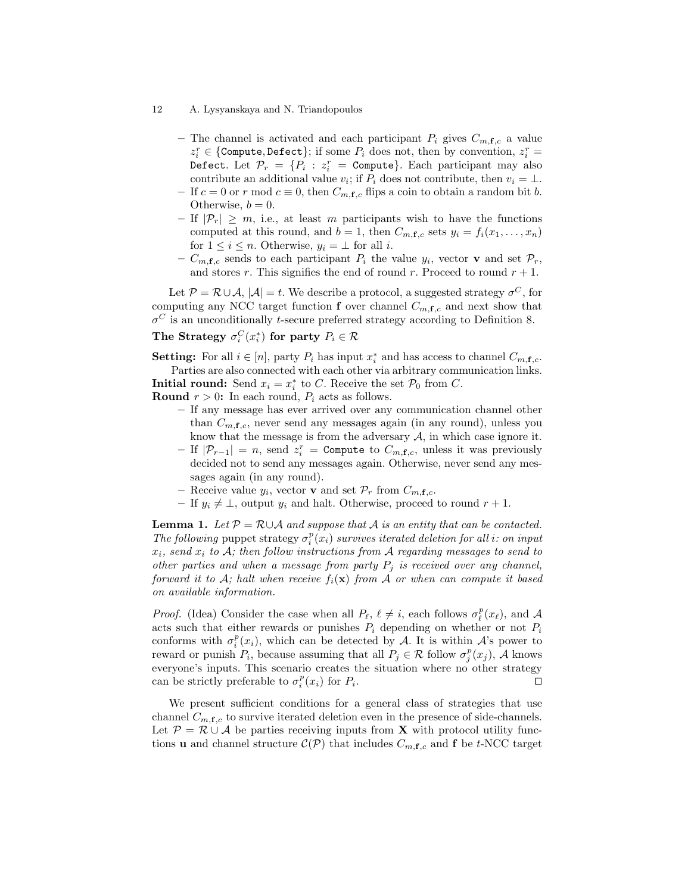- 12 A. Lysyanskaya and N. Triandopoulos
	- The channel is activated and each participant  $P_i$  gives  $C_{m,\mathbf{f},c}$  a value  $z_i^r \in \{\texttt{Compute}, \texttt{Defect}\};$  if some  $P_i$  does not, then by convention,  $z_i^r =$ Defect. Let  $\mathcal{P}_r = \{P_i : z_i^r = \text{Compute}\}\.$  Each participant may also contribute an additional value  $v_i$ ; if  $P_i$  does not contribute, then  $v_i = \perp$ .
	- If  $c = 0$  or r mod  $c \equiv 0$ , then  $C_{m,\mathbf{f},c}$  flips a coin to obtain a random bit b. Otherwise,  $b = 0$ .
	- If  $|\mathcal{P}_r| \geq m$ , i.e., at least m participants wish to have the functions computed at this round, and  $b = 1$ , then  $C_{m,\mathbf{f},c}$  sets  $y_i = f_i(x_1, \ldots, x_n)$ for  $1 \leq i \leq n$ . Otherwise,  $y_i = \perp$  for all *i*.
	- $-C_{m,\mathbf{f},c}$  sends to each participant  $P_i$  the value  $y_i$ , vector **v** and set  $\mathcal{P}_r$ , and stores r. This signifies the end of round r. Proceed to round  $r + 1$ .

Let  $\mathcal{P} = \mathcal{R} \cup \mathcal{A}, |\mathcal{A}| = t$ . We describe a protocol, a suggested strategy  $\sigma^C$ , for computing any NCC target function  $f$  over channel  $C_{m,f,c}$  and next show that  $\sigma^C$  is an unconditionally t-secure preferred strategy according to Definition 8.

## The Strategy  $\sigma_i^C(x_i^*)$  for party  $P_i \in \mathcal{R}$

**Setting:** For all  $i \in [n]$ , party  $P_i$  has input  $x_i^*$  and has access to channel  $C_{m,\mathbf{f},c}$ . Parties are also connected with each other via arbitrary communication links. **Initial round:** Send  $x_i = x_i^*$  to C. Receive the set  $\mathcal{P}_0$  from C.

**Round**  $r > 0$ : In each round,  $P_i$  acts as follows.

- If any message has ever arrived over any communication channel other than  $C_{m,\mathbf{f},c}$ , never send any messages again (in any round), unless you know that the message is from the adversary  $A$ , in which case ignore it.
- $-$  If  $|\mathcal{P}_{r-1}| = n$ , send  $z_i^r =$  Compute to  $C_{m,\mathbf{f},c}$ , unless it was previously decided not to send any messages again. Otherwise, never send any messages again (in any round).
- Receive value  $y_i$ , vector **v** and set  $\mathcal{P}_r$  from  $C_{m,\mathbf{f},c}$ .
- If  $y_i \neq \bot$ , output  $y_i$  and halt. Otherwise, proceed to round  $r + 1$ .

**Lemma 1.** Let  $P = \mathcal{R} \cup \mathcal{A}$  and suppose that  $\mathcal{A}$  is an entity that can be contacted. The following puppet strategy  $\sigma_i^p(x_i)$  survives iterated deletion for all i: on input  $x_i$ , send  $x_i$  to  $A$ ; then follow instructions from  $A$  regarding messages to send to other parties and when a message from party  $P_j$  is received over any channel, forward it to A; halt when receive  $f_i(\mathbf{x})$  from A or when can compute it based on available information.

*Proof.* (Idea) Consider the case when all  $P_\ell, \ell \neq i$ , each follows  $\sigma_\ell^p(x_\ell)$ , and A acts such that either rewards or punishes  $P_i$  depending on whether or not  $P_i$ conforms with  $\sigma_i^p(x_i)$ , which can be detected by A. It is within A's power to reward or punish  $P_i$ , because assuming that all  $P_j \in \mathcal{R}$  follow  $\sigma_j^p(x_j)$ , A knows everyone's inputs. This scenario creates the situation where no other strategy can be strictly preferable to  $\sigma_i^p(x_i)$  for  $P_i$ . **In the contract of the contract of the contract of the contract of the contract of the contract of the contract of the contract of the contract of the contract of the contract of the contract of the contract of the cont** 

We present sufficient conditions for a general class of strategies that use channel  $C_{m,\mathbf{f},c}$  to survive iterated deletion even in the presence of side-channels. Let  $\mathcal{P} = \mathcal{R} \cup \mathcal{A}$  be parties receiving inputs from **X** with protocol utility functions **u** and channel structure  $\mathcal{C}(\mathcal{P})$  that includes  $C_{m,\mathbf{f},c}$  and **f** be t-NCC target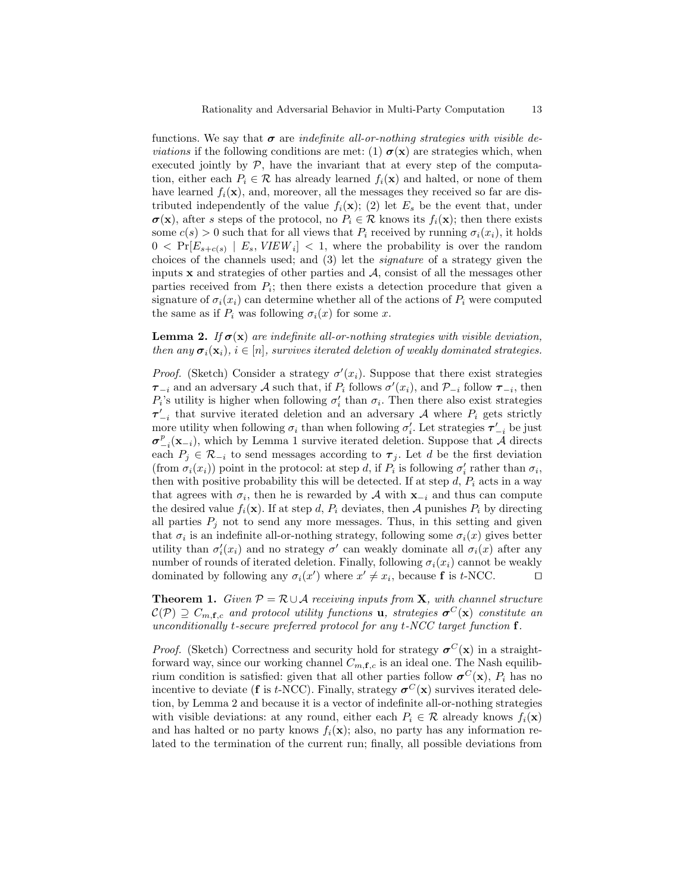functions. We say that  $\sigma$  are *indefinite all-or-nothing strategies with visible deviations* if the following conditions are met: (1)  $\sigma(\mathbf{x})$  are strategies which, when executed jointly by  $P$ , have the invariant that at every step of the computation, either each  $P_i \in \mathcal{R}$  has already learned  $f_i(\mathbf{x})$  and halted, or none of them have learned  $f_i(\mathbf{x})$ , and, moreover, all the messages they received so far are distributed independently of the value  $f_i(\mathbf{x})$ ; (2) let  $E_s$  be the event that, under  $\sigma(\mathbf{x})$ , after s steps of the protocol, no  $P_i \in \mathcal{R}$  knows its  $f_i(\mathbf{x})$ ; then there exists some  $c(s) > 0$  such that for all views that  $P_i$  received by running  $\sigma_i(x_i)$ , it holds  $0 < \Pr[E_{s+c(s)} | E_s, VIEW_i] < 1$ , where the probability is over the random choices of the channels used; and (3) let the signature of a strategy given the inputs  $x$  and strategies of other parties and  $A$ , consist of all the messages other parties received from  $P_i$ ; then there exists a detection procedure that given a signature of  $\sigma_i(x_i)$  can determine whether all of the actions of  $P_i$  were computed the same as if  $P_i$  was following  $\sigma_i(x)$  for some x.

### **Lemma 2.** If  $\sigma(\mathbf{x})$  are indefinite all-or-nothing strategies with visible deviation, then any  $\sigma_i(\mathbf{x}_i), i \in [n]$ , survives iterated deletion of weakly dominated strategies.

*Proof.* (Sketch) Consider a strategy  $\sigma'(x_i)$ . Suppose that there exist strategies  $\tau_{-i}$  and an adversary A such that, if  $P_i$  follows  $\sigma'(x_i)$ , and  $\mathcal{P}_{-i}$  follow  $\tau_{-i}$ , then  $P_i$ 's utility is higher when following  $\sigma'_i$  than  $\sigma_i$ . Then there also exist strategies  $\tau'_{-i}$  that survive iterated deletion and an adversary A where  $P_i$  gets strictly more utility when following  $\sigma_i$  than when following  $\sigma'_i$ . Let strategies  $\tau'_{-i}$  be just  $\sigma_{-i}^p(\mathbf{x}_{-i}),$  which by Lemma 1 survive iterated deletion. Suppose that A directs each  $P_j \in \mathcal{R}_{-i}$  to send messages according to  $\tau_j$ . Let d be the first deviation (from  $\sigma_i(x_i)$ ) point in the protocol: at step d, if  $P_i$  is following  $\sigma'_i$  rather than  $\sigma_i$ , then with positive probability this will be detected. If at step  $d$ ,  $P_i$  acts in a way that agrees with  $\sigma_i$ , then he is rewarded by  $\mathcal A$  with  $\mathbf x_{-i}$  and thus can compute the desired value  $f_i(\mathbf{x})$ . If at step d,  $P_i$  deviates, then A punishes  $P_i$  by directing all parties  $P_i$  not to send any more messages. Thus, in this setting and given that  $\sigma_i$  is an indefinite all-or-nothing strategy, following some  $\sigma_i(x)$  gives better utility than  $\sigma'_i(x_i)$  and no strategy  $\sigma'$  can weakly dominate all  $\sigma_i(x)$  after any number of rounds of iterated deletion. Finally, following  $\sigma_i(x_i)$  cannot be weakly dominated by following any  $\sigma_i(x')$  where  $x' \neq x_i$ , because **f** is t-NCC.

**Theorem 1.** Given  $P = \mathcal{R} \cup \mathcal{A}$  receiving inputs from **X**, with channel structure  $\mathcal{C}(\mathcal{P})\supseteq C_{m,\mathbf{f},c}$  and protocol utility functions **u**, strategies  $\boldsymbol{\sigma}^C(\mathbf{x})$  constitute an unconditionally t-secure preferred protocol for any  $t$ -NCC target function  $f$ .

*Proof.* (Sketch) Correctness and security hold for strategy  $\sigma^C(\mathbf{x})$  in a straightforward way, since our working channel  $C_{m,\mathbf{f},c}$  is an ideal one. The Nash equilibrium condition is satisfied: given that all other parties follow  $\sigma^C(\mathbf{x})$ ,  $P_i$  has no incentive to deviate (f is t-NCC). Finally, strategy  $\boldsymbol{\sigma}^C(\mathbf{x})$  survives iterated deletion, by Lemma 2 and because it is a vector of indefinite all-or-nothing strategies with visible deviations: at any round, either each  $P_i \in \mathcal{R}$  already knows  $f_i(\mathbf{x})$ and has halted or no party knows  $f_i(\mathbf{x})$ ; also, no party has any information related to the termination of the current run; finally, all possible deviations from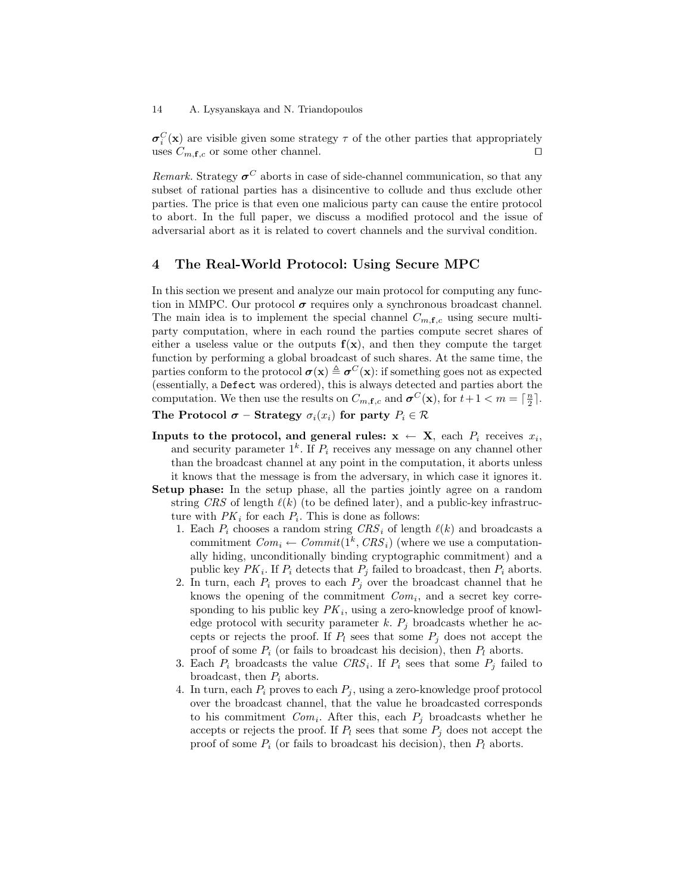$\sigma_i^C(\mathbf{x})$  are visible given some strategy  $\tau$  of the other parties that appropriately uses  $C_{m,\mathbf{f},c}$  or some other channel.

Remark. Strategy  $\sigma^C$  aborts in case of side-channel communication, so that any subset of rational parties has a disincentive to collude and thus exclude other parties. The price is that even one malicious party can cause the entire protocol to abort. In the full paper, we discuss a modified protocol and the issue of adversarial abort as it is related to covert channels and the survival condition.

### 4 The Real-World Protocol: Using Secure MPC

In this section we present and analyze our main protocol for computing any function in MMPC. Our protocol  $\sigma$  requires only a synchronous broadcast channel. The main idea is to implement the special channel  $C_{m,\mathbf{f},c}$  using secure multiparty computation, where in each round the parties compute secret shares of either a useless value or the outputs  $f(x)$ , and then they compute the target function by performing a global broadcast of such shares. At the same time, the parties conform to the protocol  $\boldsymbol{\sigma}(\mathbf{x}) \triangleq \boldsymbol{\sigma}^C(\mathbf{x})$ : if something goes not as expected (essentially, a Defect was ordered), this is always detected and parties abort the computation. We then use the results on  $C_{m,\mathbf{f},c}$  and  $\boldsymbol{\sigma}^C(\mathbf{x})$ , for  $t+1 < m = \lceil \frac{n}{2} \rceil$ .

The Protocol  $\sigma$  – Strategy  $\sigma_i(x_i)$  for party  $P_i \in \mathcal{R}$ 

- Inputs to the protocol, and general rules:  $\mathbf{x} \leftarrow \mathbf{X}$ , each  $P_i$  receives  $x_i$ , and security parameter  $1^k$ . If  $P_i$  receives any message on any channel other than the broadcast channel at any point in the computation, it aborts unless it knows that the message is from the adversary, in which case it ignores it.
- Setup phase: In the setup phase, all the parties jointly agree on a random string CRS of length  $\ell(k)$  (to be defined later), and a public-key infrastructure with  $PK_i$  for each  $P_i$ . This is done as follows:
	- 1. Each  $P_i$  chooses a random string  $CRS_i$  of length  $\ell(k)$  and broadcasts a commitment  $Com_i \leftarrow Commit(1^k, CRS_i)$  (where we use a computationally hiding, unconditionally binding cryptographic commitment) and a public key  $PK_i$ . If  $P_i$  detects that  $P_j$  failed to broadcast, then  $P_i$  aborts.
	- 2. In turn, each  $P_i$  proves to each  $P_j$  over the broadcast channel that he knows the opening of the commitment  $Com_i$ , and a secret key corresponding to his public key  $PK_i$ , using a zero-knowledge proof of knowledge protocol with security parameter k.  $P_j$  broadcasts whether he accepts or rejects the proof. If  $P_l$  sees that some  $P_j$  does not accept the proof of some  $P_i$  (or fails to broadcast his decision), then  $P_l$  aborts.
	- 3. Each  $P_i$  broadcasts the value  $CRS_i$ . If  $P_i$  sees that some  $P_j$  failed to broadcast, then  $P_i$  aborts.
	- 4. In turn, each  $P_i$  proves to each  $P_i$ , using a zero-knowledge proof protocol over the broadcast channel, that the value he broadcasted corresponds to his commitment  $Com_i$ . After this, each  $P_j$  broadcasts whether he accepts or rejects the proof. If  $P_l$  sees that some  $P_j$  does not accept the proof of some  $P_i$  (or fails to broadcast his decision), then  $P_l$  aborts.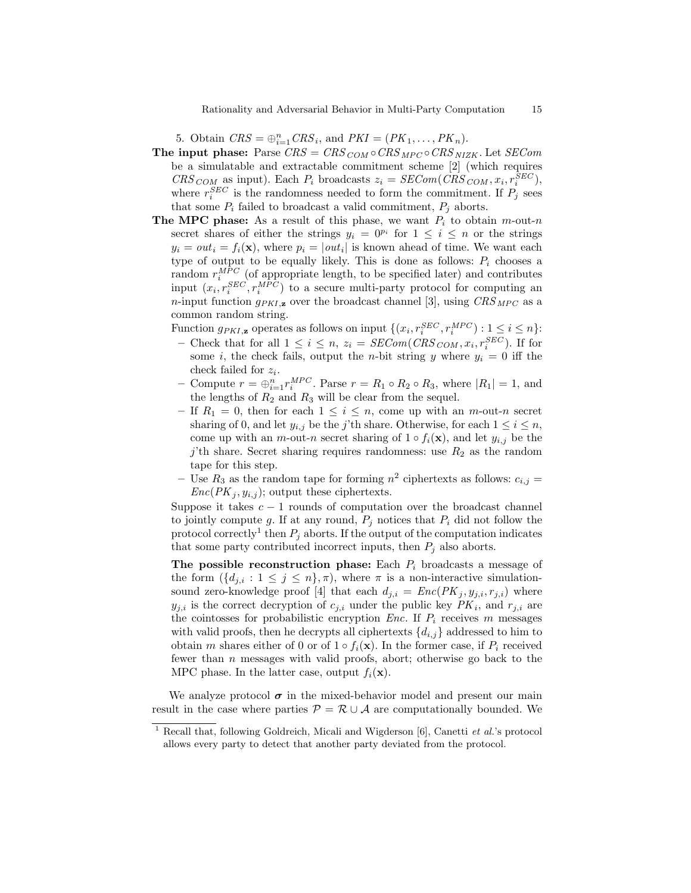5. Obtain  $CRS = \bigoplus_{i=1}^{n} CRS_i$ , and  $PKI = (PK_1, \ldots, PK_n)$ .

- The input phase: Parse  $CRS = CRS_{COM} \circ CRS_{MPC} \circ CRS_{NIZK}$ . Let  $SECom$ be a simulatable and extractable commitment scheme [2] (which requires  $CRS_{COM}$  as input). Each  $P_i$  broadcasts  $z_i = SECom(CRS_{COM}, x_i, r_i^{SEC}),$ where  $r_i^{SEC}$  is the randomness needed to form the commitment. If  $P_j$  sees that some  $P_i$  failed to broadcast a valid commitment,  $P_i$  aborts.
- **The MPC phase:** As a result of this phase, we want  $P_i$  to obtain m-out-n secret shares of either the strings  $y_i = 0^{p_i}$  for  $1 \leq i \leq n$  or the strings  $y_i = out_i = f_i(\mathbf{x})$ , where  $p_i = |out_i|$  is known ahead of time. We want each type of output to be equally likely. This is done as follows:  $P_i$  chooses a random  $r_i^{MPC}$  (of appropriate length, to be specified later) and contributes input  $(x_i, r_i^{SEC}, r_i^{MPC})$  to a secure multi-party protocol for computing an *n*-input function  $g_{PKI, \mathbf{z}}$  over the broadcast channel [3], using  $CRS_{MPC}$  as a common random string.

Function  $g_{PKI, \mathbf{z}}$  operates as follows on input  $\{(x_i, r_i^{SEC}, r_i^{MPC}) : 1 \le i \le n\}$ :

- Check that for all  $1 \leq i \leq n$ ,  $z_i = \text{SECom}(\text{CRS}_{COM}, x_i, r_i^{\text{SEC}})$ . If for some i, the check fails, output the *n*-bit string y where  $y_i = 0$  iff the check failed for  $z_i$ .
- Compute  $r = \bigoplus_{i=1}^{n} r_i^{MPC}$ . Parse  $r = R_1 \circ R_2 \circ R_3$ , where  $|R_1| = 1$ , and the lengths of  $R_2$  and  $R_3$  will be clear from the sequel.
- If  $R_1 = 0$ , then for each  $1 \leq i \leq n$ , come up with an *m*-out-*n* secret sharing of 0, and let  $y_{i,j}$  be the j'th share. Otherwise, for each  $1 \leq i \leq n$ , come up with an m-out-n secret sharing of  $1 \circ f_i(\mathbf{x})$ , and let  $y_{i,j}$  be the j'th share. Secret sharing requires randomness: use  $R_2$  as the random tape for this step.
- Use  $R_3$  as the random tape for forming  $n^2$  ciphertexts as follows:  $c_{i,j}$  =  $Enc(PK<sub>i</sub>, y<sub>i,j</sub>)$ ; output these ciphertexts.

Suppose it takes  $c - 1$  rounds of computation over the broadcast channel to jointly compute g. If at any round,  $P_i$  notices that  $P_i$  did not follow the protocol correctly<sup>1</sup> then  $P_j$  aborts. If the output of the computation indicates that some party contributed incorrect inputs, then  $P_j$  also aborts.

The possible reconstruction phase: Each  $P_i$  broadcasts a message of the form  $({d_{j,i}: 1 \leq j \leq n}, \pi)$ , where  $\pi$  is a non-interactive simulationsound zero-knowledge proof [4] that each  $d_{j,i} = Enc(PK_j, y_{j,i}, r_{j,i})$  where  $y_{j,i}$  is the correct decryption of  $c_{j,i}$  under the public key  $PK_i$ , and  $r_{j,i}$  are the cointosses for probabilistic encryption  $Enc$ . If  $P_i$  receives m messages with valid proofs, then he decrypts all ciphertexts  ${d_{i,j}}$  addressed to him to obtain m shares either of 0 or of 1 ∘  $f_i(\mathbf{x})$ . In the former case, if  $P_i$  received fewer than  $n$  messages with valid proofs, abort; otherwise go back to the MPC phase. In the latter case, output  $f_i(\mathbf{x})$ .

We analyze protocol  $\sigma$  in the mixed-behavior model and present our main result in the case where parties  $\mathcal{P} = \mathcal{R} \cup \mathcal{A}$  are computationally bounded. We

<sup>&</sup>lt;sup>1</sup> Recall that, following Goldreich, Micali and Wigderson [6], Canetti et al.'s protocol allows every party to detect that another party deviated from the protocol.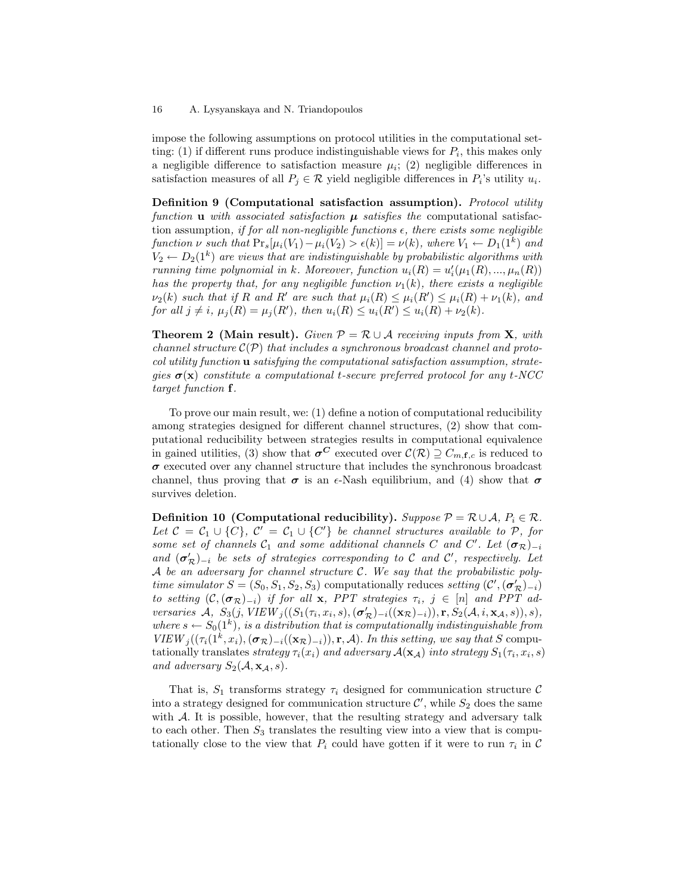impose the following assumptions on protocol utilities in the computational setting: (1) if different runs produce indistinguishable views for  $P_i$ , this makes only a negligible difference to satisfaction measure  $\mu_i$ ; (2) negligible differences in satisfaction measures of all  $P_j \in \mathcal{R}$  yield negligible differences in  $P_i$ 's utility  $u_i$ .

Definition 9 (Computational satisfaction assumption). Protocol utility function **u** with associated satisfaction  $\mu$  satisfies the computational satisfaction assumption, if for all non-negligible functions  $\epsilon$ , there exists some negligible function  $\nu$  such that  $Pr_s[\mu_i(V_1) - \mu_i(V_2) > \epsilon(k)] = \nu(k)$ , where  $V_1 \leftarrow D_1(1^k)$  and  $V_2 \leftarrow D_2(1^k)$  are views that are indistinguishable by probabilistic algorithms with running time polynomial in k. Moreover, function  $u_i(R) = u'_i(\mu_1(R), ..., \mu_n(R))$ has the property that, for any negligible function  $\nu_1(k)$ , there exists a negligible  $\nu_2(k)$  such that if R and R' are such that  $\mu_i(R) \leq \mu_i(R') \leq \mu_i(R) + \nu_1(k)$ , and for all  $j \neq i$ ,  $\mu_j(R) = \mu_j(R')$ , then  $u_i(R) \leq u_i(R') \leq u_i(R) + \nu_2(k)$ .

**Theorem 2 (Main result).** Given  $P = \mathcal{R} \cup \mathcal{A}$  receiving inputs from **X**, with channel structure  $\mathcal{C}(\mathcal{P})$  that includes a synchronous broadcast channel and protocol utility function u satisfying the computational satisfaction assumption, strategies  $\sigma(\mathbf{x})$  constitute a computational t-secure preferred protocol for any t-NCC target function f.

To prove our main result, we: (1) define a notion of computational reducibility among strategies designed for different channel structures, (2) show that computational reducibility between strategies results in computational equivalence in gained utilities, (3) show that  $\sigma^C$  executed over  $\mathcal{C}(\mathcal{R}) \supseteq C_{m,\mathbf{f},c}$  is reduced to  $\sigma$  executed over any channel structure that includes the synchronous broadcast channel, thus proving that  $\sigma$  is an  $\epsilon$ -Nash equilibrium, and (4) show that  $\sigma$ survives deletion.

Definition 10 (Computational reducibility). Suppose  $P = \mathcal{R} \cup A$ ,  $P_i \in \mathcal{R}$ . Let  $C = C_1 \cup \{C\}$ ,  $C' = C_1 \cup \{C'\}$  be channel structures available to P, for some set of channels  $C_1$  and some additional channels C and C'. Let  $(\sigma_{\mathcal{R}})_{-i}$ and  $(\sigma_R')_{-i}$  be sets of strategies corresponding to C and C', respectively. Let A be an adversary for channel structure  $C$ . We say that the probabilistic polytime simulator  $S = (S_0, S_1, S_2, S_3)$  computationally reduces setting  $(C', (\sigma_R)_{-i})$ to setting  $(C,(\sigma_{\mathcal{R}})_{-i})$  if for all x, PPT strategies  $\tau_i, j \in [n]$  and PPT adversaries  $\mathcal{A}, S_3(j, VIEW_j((S_1(\tau_i, x_i, s), (\boldsymbol{\sigma}'_{\mathcal{R}})_{-i}((\mathbf{x}_{\mathcal{R}})_{-i})), \mathbf{r}, S_2(\mathcal{A}, i, \mathbf{x}_{\mathcal{A}}, s)), s),$ where  $s \leftarrow S_0(1^k)$ , is a distribution that is computationally indistinguishable from  $VIEW_j((\tau_i(1^k, x_i), (\sigma_{\mathcal{R}})_{-i}((\mathbf{x}_{\mathcal{R}})_{-i})), \mathbf{r}, \mathcal{A}).$  In this setting, we say that S computationally translates strategy  $\tau_i(x_i)$  and adversary  $\mathcal{A}(\mathbf{x}_{\mathcal{A}})$  into strategy  $S_1(\tau_i,x_i,s)$ and adversary  $S_2(\mathcal{A}, \mathbf{x}_{\mathcal{A}}, s)$ .

That is,  $S_1$  transforms strategy  $\tau_i$  designed for communication structure C into a strategy designed for communication structure  $\mathcal{C}'$ , while  $S_2$  does the same with A. It is possible, however, that the resulting strategy and adversary talk to each other. Then  $S_3$  translates the resulting view into a view that is computationally close to the view that  $P_i$  could have gotten if it were to run  $\tau_i$  in C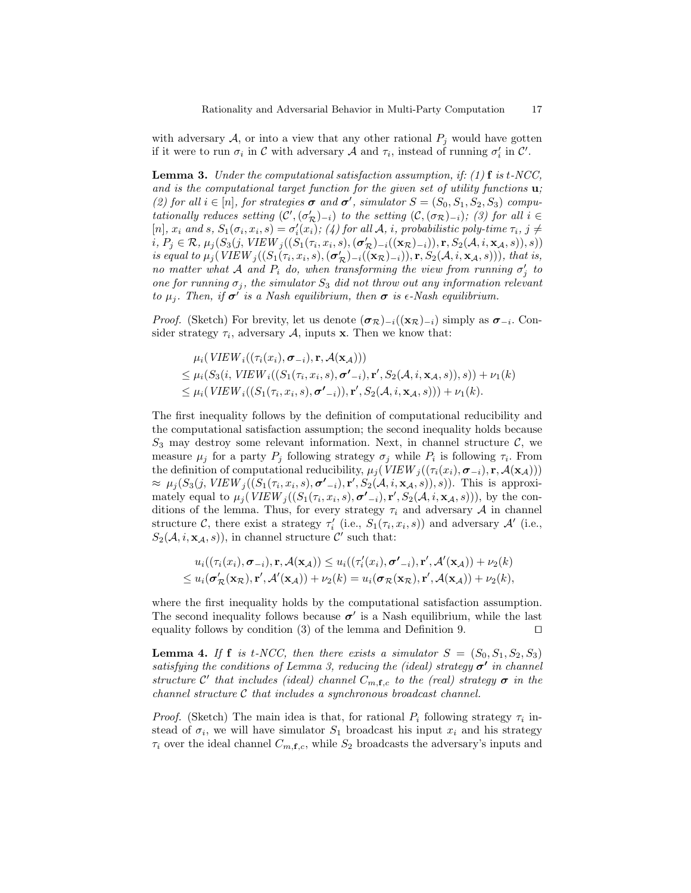with adversary  $A$ , or into a view that any other rational  $P_i$  would have gotten if it were to run  $\sigma_i$  in C with adversary A and  $\tau_i$ , instead of running  $\sigma'_i$  in C'.

**Lemma 3.** Under the computational satisfaction assumption, if: (1) **f** is t-NCC. and is the computational target function for the given set of utility functions  $\mathbf{u}$ ; (2) for all  $i \in [n]$ , for strategies  $\sigma$  and  $\sigma'$ , simulator  $S = (S_0, S_1, S_2, S_3)$  computationally reduces setting  $(C',(\sigma_{\mathcal{R}})_{-i})$  to the setting  $(C,(\sigma_{\mathcal{R}})_{-i})$ ; (3) for all  $i \in$  $[n], x_i$  and  $s, S_1(\sigma_i, x_i, s) = \sigma'_i(x_i); (4)$  for all  $A, i$ , probabilistic poly-time  $\tau_i, j \neq j$  $i, P_j \in \mathcal{R}, \mu_j(S_3(j,\textit{VIEW}_j((S_1(\tau_i,x_i,s),(\bm{\sigma}'_{\mathcal{R}})_{-i}((\mathbf{x}_{\mathcal{R}})_{-i})), \mathbf{r}, S_2(\mathcal{A}, i, \mathbf{x}_{\mathcal{A}}, s)), s)))$ is equal to  $\mu_j(VIEW_j((S_1(\tau_i,x_i,s),(\sigma'_{\mathcal{R}})_{-i}((\mathbf{x}_{\mathcal{R}})_{-i})), \mathbf{r}, S_2(\mathcal{A}, i, \mathbf{x}_{\mathcal{A}}, s)))$ , that is, no matter what A and  $P_i$  do, when transforming the view from running  $\sigma'_j$  to one for running  $\sigma_j$ , the simulator  $S_3$  did not throw out any information relevant to  $\mu_j$ . Then, if  $\sigma'$  is a Nash equilibrium, then  $\sigma$  is  $\epsilon$ -Nash equilibrium.

*Proof.* (Sketch) For brevity, let us denote  $(\sigma_{\mathcal{R}})_{-i}((\mathbf{x}_{\mathcal{R}})_{-i})$  simply as  $\sigma_{-i}$ . Consider strategy  $\tau_i$ , adversary A, inputs **x**. Then we know that:

$$
\mu_i(VIEW_i((\tau_i(x_i), \sigma_{-i}), \mathbf{r}, A(\mathbf{x}_A)))\leq \mu_i(S_3(i, VIEW_i((S_1(\tau_i, x_i, s), \sigma'_{-i}), \mathbf{r}', S_2(A, i, \mathbf{x}_A, s)), s)) + \nu_1(k)\leq \mu_i(VIEW_i((S_1(\tau_i, x_i, s), \sigma'_{-i})), \mathbf{r}', S_2(A, i, \mathbf{x}_A, s))) + \nu_1(k).
$$

The first inequality follows by the definition of computational reducibility and the computational satisfaction assumption; the second inequality holds because  $S_3$  may destroy some relevant information. Next, in channel structure  $\mathcal{C}$ , we measure  $\mu_j$  for a party  $P_j$  following strategy  $\sigma_j$  while  $P_i$  is following  $\tau_i$ . From the definition of computational reducibility,  $\mu_j(VIEW_j((\tau_i(x_i), \sigma_{-i}), \mathbf{r}, \mathcal{A}(\mathbf{x}_\mathcal{A})))$  $\approx \mu_j(S_3(j, VIEW_j((S_1(\tau_i, x_i, s), \sigma'_{-i}), r', S_2(\mathcal{A}, i, \mathbf{x}_{\mathcal{A}}, s)), s)).$  This is approximately equal to  $\mu_j(VIEW_j((S_1(\tau_i,x_i,s), \sigma'_{-i}), \mathbf{r}', S_2(\mathcal{A}, i, \mathbf{x}_\mathcal{A}, s)))$ , by the conditions of the lemma. Thus, for every strategy  $\tau_i$  and adversary A in channel structure C, there exist a strategy  $\tau'_i$  (i.e.,  $S_1(\tau_i, x_i, s)$ ) and adversary  $\mathcal{A}'$  (i.e.,  $S_2(\mathcal{A}, i, \mathbf{x}_{\mathcal{A}}, s)$ , in channel structure  $\mathcal{C}'$  such that:

$$
u_i((\tau_i(x_i), \sigma_{-i}), \mathbf{r}, \mathcal{A}(\mathbf{x}_{\mathcal{A}})) \leq u_i((\tau'_i(x_i), \sigma'_{-i}), \mathbf{r}', \mathcal{A}'(\mathbf{x}_{\mathcal{A}})) + \nu_2(k) \leq u_i(\sigma'_{\mathcal{R}}(\mathbf{x}_{\mathcal{R}}), \mathbf{r}', \mathcal{A}'(\mathbf{x}_{\mathcal{A}})) + \nu_2(k) = u_i(\sigma_{\mathcal{R}}(\mathbf{x}_{\mathcal{R}}), \mathbf{r}', \mathcal{A}(\mathbf{x}_{\mathcal{A}})) + \nu_2(k),
$$

where the first inequality holds by the computational satisfaction assumption. The second inequality follows because  $\sigma'$  is a Nash equilibrium, while the last equality follows by condition (3) of the lemma and Definition 9.  $\Box$ 

**Lemma 4.** If **f** is t-NCC, then there exists a simulator  $S = (S_0, S_1, S_2, S_3)$ satisfying the conditions of Lemma 3, reducing the (ideal) strategy  $\sigma'$  in channel structure C' that includes (ideal) channel  $C_{m,\mathbf{f},c}$  to the (real) strategy  $\sigma$  in the channel structure  $C$  that includes a synchronous broadcast channel.

*Proof.* (Sketch) The main idea is that, for rational  $P_i$  following strategy  $\tau_i$  instead of  $\sigma_i$ , we will have simulator  $S_1$  broadcast his input  $x_i$  and his strategy  $\tau_i$  over the ideal channel  $C_{m,\mathbf{f},c}$ , while  $S_2$  broadcasts the adversary's inputs and